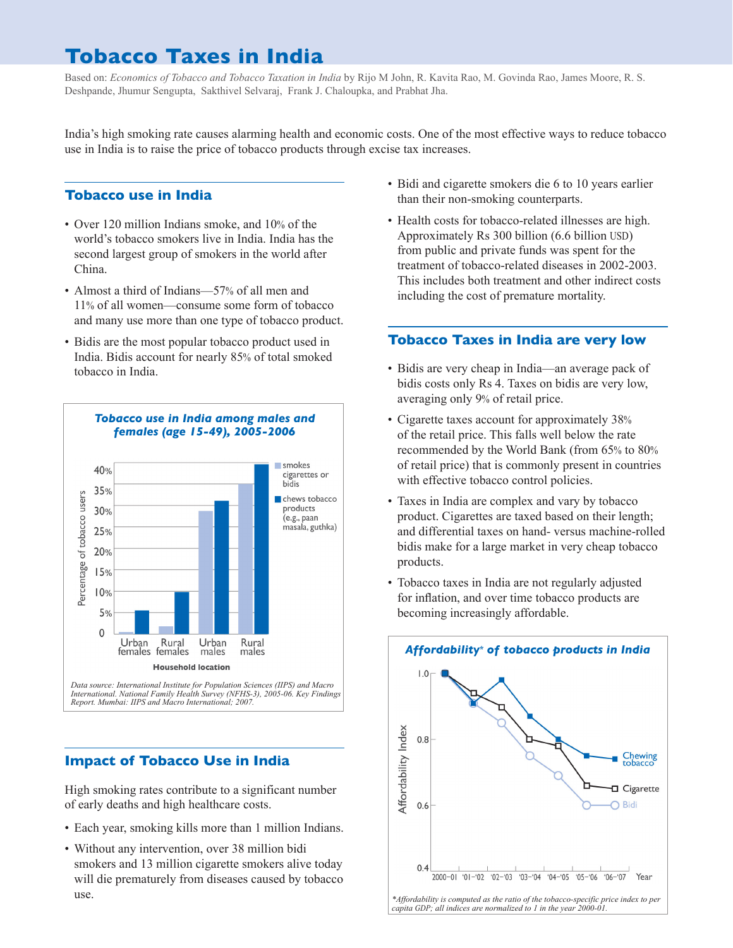# **Tobacco Taxes in India**

Based on: *Economics of Tobacco and Tobacco Taxation in India* by Rijo M John, R. Kavita Rao, M. Govinda Rao, James Moore, R. S. Deshpande, Jhumur Sengupta, Sakthivel Selvaraj, Frank J. Chaloupka, and Prabhat Jha.

India's high smoking rate causes alarming health and economic costs. One of the most effective ways to reduce tobacco use in India is to raise the price of tobacco products through excise tax increases.

# **Tobacco use in India**

- Over 120 million Indians smoke, and 10% of the world's tobacco smokers live in India. India has the second largest group of smokers in the world after China.
- Almost a third of Indians—57% of all men and 11% of all women—consume some form of tobacco and many use more than one type of tobacco product.
- • Bidis are the most popular tobacco product used in India. Bidis account for nearly 85% of total smoked tobacco in India.



## **Impact of Tobacco Use in India**

High smoking rates contribute to a significant number of early deaths and high healthcare costs.

- Each year, smoking kills more than 1 million Indians.
- • Without any intervention, over 38 million bidi smokers and 13 million cigarette smokers alive today will die prematurely from diseases caused by tobacco use.
- Bidi and cigarette smokers die 6 to 10 years earlier than their non-smoking counterparts.
- Health costs for tobacco-related illnesses are high. Approximately Rs 300 billion (6.6 billion USD) from public and private funds was spent for the treatment of tobacco-related diseases in 2002-2003. This includes both treatment and other indirect costs including the cost of premature mortality.

#### **Tobacco Taxes in India are very low**

- • Bidis are very cheap in India—an average pack of bidis costs only Rs 4. Taxes on bidis are very low, averaging only 9% of retail price.
- Cigarette taxes account for approximately 38% of the retail price. This falls well below the rate recommended by the World Bank (from 65% to 80% of retail price) that is commonly present in countries with effective tobacco control policies.
- Taxes in India are complex and vary by tobacco product. Cigarettes are taxed based on their length; and differential taxes on hand- versus machine-rolled bidis make for a large market in very cheap tobacco products.
- Tobacco taxes in India are not regularly adjusted for inflation, and over time tobacco products are becoming increasingly affordable.